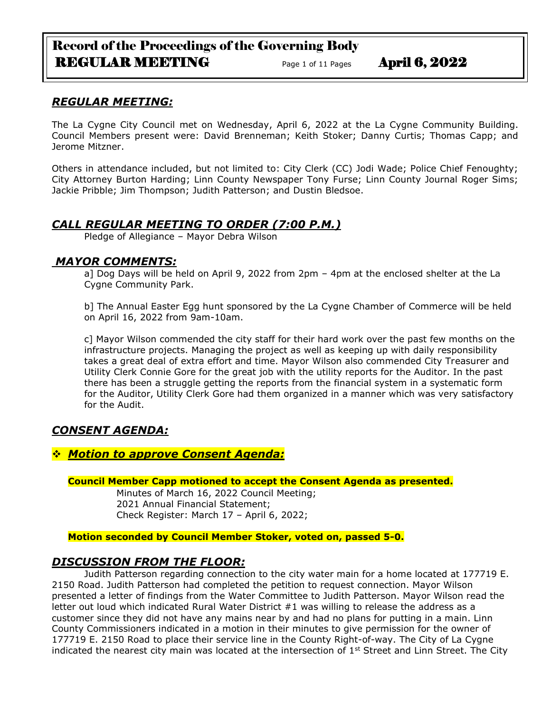# Record of the Proceedings of the Governing Body REGULAR MEETING Page 1 of 11 Pages April 6, 2022

## *REGULAR MEETING:*

The La Cygne City Council met on Wednesday, April 6, 2022 at the La Cygne Community Building. Council Members present were: David Brenneman; Keith Stoker; Danny Curtis; Thomas Capp; and Jerome Mitzner.

Others in attendance included, but not limited to: City Clerk (CC) Jodi Wade; Police Chief Fenoughty; City Attorney Burton Harding; Linn County Newspaper Tony Furse; Linn County Journal Roger Sims; Jackie Pribble; Jim Thompson; Judith Patterson; and Dustin Bledsoe.

## *CALL REGULAR MEETING TO ORDER (7:00 P.M.)*

Pledge of Allegiance – Mayor Debra Wilson

## *MAYOR COMMENTS:*

a] Dog Days will be held on April 9, 2022 from 2pm – 4pm at the enclosed shelter at the La Cygne Community Park.

b] The Annual Easter Egg hunt sponsored by the La Cygne Chamber of Commerce will be held on April 16, 2022 from 9am-10am.

c] Mayor Wilson commended the city staff for their hard work over the past few months on the infrastructure projects. Managing the project as well as keeping up with daily responsibility takes a great deal of extra effort and time. Mayor Wilson also commended City Treasurer and Utility Clerk Connie Gore for the great job with the utility reports for the Auditor. In the past there has been a struggle getting the reports from the financial system in a systematic form for the Auditor, Utility Clerk Gore had them organized in a manner which was very satisfactory for the Audit.

# *CONSENT AGENDA:*

## ❖ *Motion to approve Consent Agenda:*

### **Council Member Capp motioned to accept the Consent Agenda as presented.**

Minutes of March 16, 2022 Council Meeting; 2021 Annual Financial Statement; Check Register: March 17 – April 6, 2022;

### **Motion seconded by Council Member Stoker, voted on, passed 5-0.**

## *DISCUSSION FROM THE FLOOR:*

Judith Patterson regarding connection to the city water main for a home located at 177719 E. 2150 Road. Judith Patterson had completed the petition to request connection. Mayor Wilson presented a letter of findings from the Water Committee to Judith Patterson. Mayor Wilson read the letter out loud which indicated Rural Water District #1 was willing to release the address as a customer since they did not have any mains near by and had no plans for putting in a main. Linn County Commissioners indicated in a motion in their minutes to give permission for the owner of 177719 E. 2150 Road to place their service line in the County Right-of-way. The City of La Cygne indicated the nearest city main was located at the intersection of  $1<sup>st</sup>$  Street and Linn Street. The City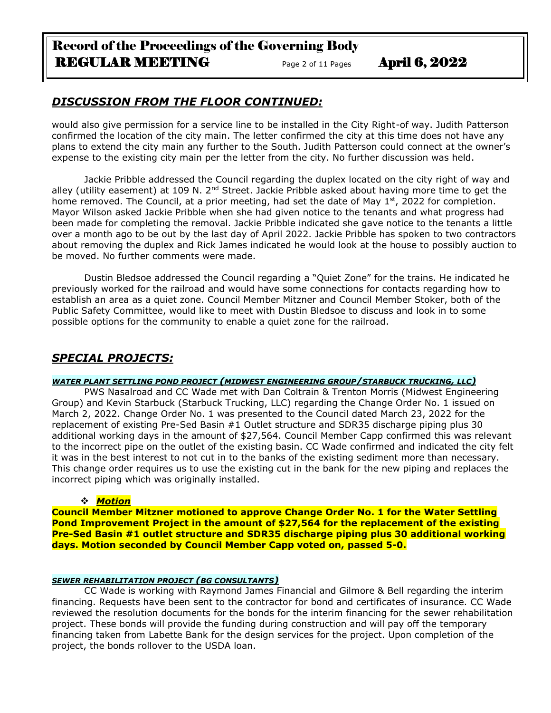# Record of the Proceedings of the Governing Body REGULAR MEETING Page 2 of 11 Pages April 6, 2022

# *DISCUSSION FROM THE FLOOR CONTINUED:*

would also give permission for a service line to be installed in the City Right-of way. Judith Patterson confirmed the location of the city main. The letter confirmed the city at this time does not have any plans to extend the city main any further to the South. Judith Patterson could connect at the owner's expense to the existing city main per the letter from the city. No further discussion was held.

Jackie Pribble addressed the Council regarding the duplex located on the city right of way and alley (utility easement) at 109 N. 2<sup>nd</sup> Street. Jackie Pribble asked about having more time to get the home removed. The Council, at a prior meeting, had set the date of May  $1<sup>st</sup>$ , 2022 for completion. Mayor Wilson asked Jackie Pribble when she had given notice to the tenants and what progress had been made for completing the removal. Jackie Pribble indicated she gave notice to the tenants a little over a month ago to be out by the last day of April 2022. Jackie Pribble has spoken to two contractors about removing the duplex and Rick James indicated he would look at the house to possibly auction to be moved. No further comments were made.

Dustin Bledsoe addressed the Council regarding a "Quiet Zone" for the trains. He indicated he previously worked for the railroad and would have some connections for contacts regarding how to establish an area as a quiet zone. Council Member Mitzner and Council Member Stoker, both of the Public Safety Committee, would like to meet with Dustin Bledsoe to discuss and look in to some possible options for the community to enable a quiet zone for the railroad.

# *SPECIAL PROJECTS:*

### *WATER PLANT SETTLING POND PROJECT (MIDWEST ENGINEERING GROUP/STARBUCK TRUCKING, LLC)*

PWS Nasalroad and CC Wade met with Dan Coltrain & Trenton Morris (Midwest Engineering Group) and Kevin Starbuck (Starbuck Trucking, LLC) regarding the Change Order No. 1 issued on March 2, 2022. Change Order No. 1 was presented to the Council dated March 23, 2022 for the replacement of existing Pre-Sed Basin #1 Outlet structure and SDR35 discharge piping plus 30 additional working days in the amount of \$27,564. Council Member Capp confirmed this was relevant to the incorrect pipe on the outlet of the existing basin. CC Wade confirmed and indicated the city felt it was in the best interest to not cut in to the banks of the existing sediment more than necessary. This change order requires us to use the existing cut in the bank for the new piping and replaces the incorrect piping which was originally installed.

## ❖ *Motion*

**Council Member Mitzner motioned to approve Change Order No. 1 for the Water Settling Pond Improvement Project in the amount of \$27,564 for the replacement of the existing Pre-Sed Basin #1 outlet structure and SDR35 discharge piping plus 30 additional working days. Motion seconded by Council Member Capp voted on, passed 5-0.**

### *SEWER REHABILITATION PROJECT (BG CONSULTANTS)*

CC Wade is working with Raymond James Financial and Gilmore & Bell regarding the interim financing. Requests have been sent to the contractor for bond and certificates of insurance. CC Wade reviewed the resolution documents for the bonds for the interim financing for the sewer rehabilitation project. These bonds will provide the funding during construction and will pay off the temporary financing taken from Labette Bank for the design services for the project. Upon completion of the project, the bonds rollover to the USDA loan.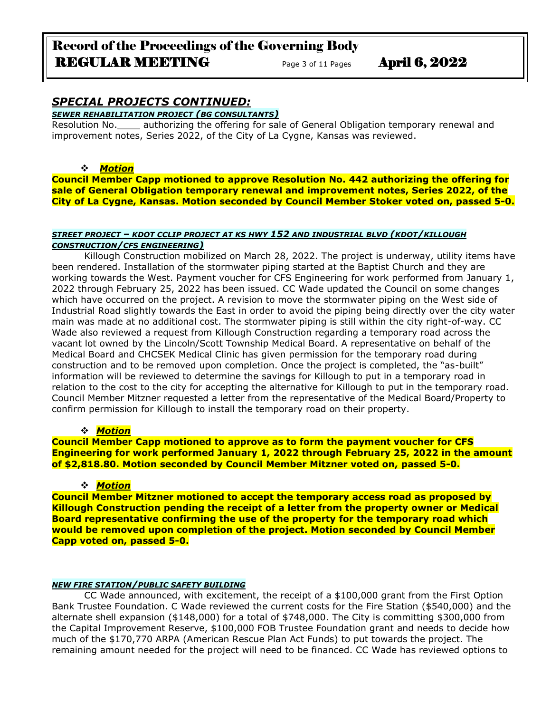# Record of the Proceedings of the Governing Body REGULAR MEETING Page 3 of 11 Pages April 6, 2022

# *SPECIAL PROJECTS CONTINUED:*

*SEWER REHABILITATION PROJECT (BG CONSULTANTS)*

Resolution No.\_\_\_\_ authorizing the offering for sale of General Obligation temporary renewal and improvement notes, Series 2022, of the City of La Cygne, Kansas was reviewed.

### ❖ *Motion*

**Council Member Capp motioned to approve Resolution No. 442 authorizing the offering for sale of General Obligation temporary renewal and improvement notes, Series 2022, of the City of La Cygne, Kansas. Motion seconded by Council Member Stoker voted on, passed 5-0.**

#### *STREET PROJECT – KDOT CCLIP PROJECT AT KS HWY 152 AND INDUSTRIAL BLVD (KDOT/KILLOUGH CONSTRUCTION/CFS ENGINEERING)*

Killough Construction mobilized on March 28, 2022. The project is underway, utility items have been rendered. Installation of the stormwater piping started at the Baptist Church and they are working towards the West. Payment voucher for CFS Engineering for work performed from January 1, 2022 through February 25, 2022 has been issued. CC Wade updated the Council on some changes which have occurred on the project. A revision to move the stormwater piping on the West side of Industrial Road slightly towards the East in order to avoid the piping being directly over the city water main was made at no additional cost. The stormwater piping is still within the city right-of-way. CC Wade also reviewed a request from Killough Construction regarding a temporary road across the vacant lot owned by the Lincoln/Scott Township Medical Board. A representative on behalf of the Medical Board and CHCSEK Medical Clinic has given permission for the temporary road during construction and to be removed upon completion. Once the project is completed, the "as-built" information will be reviewed to determine the savings for Killough to put in a temporary road in relation to the cost to the city for accepting the alternative for Killough to put in the temporary road. Council Member Mitzner requested a letter from the representative of the Medical Board/Property to confirm permission for Killough to install the temporary road on their property.

### ❖ *Motion*

**Council Member Capp motioned to approve as to form the payment voucher for CFS Engineering for work performed January 1, 2022 through February 25, 2022 in the amount of \$2,818.80. Motion seconded by Council Member Mitzner voted on, passed 5-0.**

### ❖ *Motion*

**Council Member Mitzner motioned to accept the temporary access road as proposed by Killough Construction pending the receipt of a letter from the property owner or Medical Board representative confirming the use of the property for the temporary road which would be removed upon completion of the project. Motion seconded by Council Member Capp voted on, passed 5-0.**

#### *NEW FIRE STATION/PUBLIC SAFETY BUILDING*

CC Wade announced, with excitement, the receipt of a \$100,000 grant from the First Option Bank Trustee Foundation. C Wade reviewed the current costs for the Fire Station (\$540,000) and the alternate shell expansion (\$148,000) for a total of \$748,000. The City is committing \$300,000 from the Capital Improvement Reserve, \$100,000 FOB Trustee Foundation grant and needs to decide how much of the \$170,770 ARPA (American Rescue Plan Act Funds) to put towards the project. The remaining amount needed for the project will need to be financed. CC Wade has reviewed options to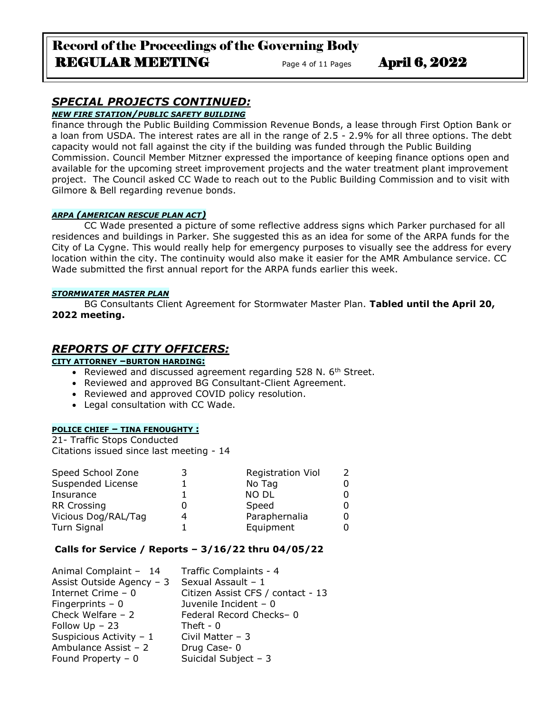# *SPECIAL PROJECTS CONTINUED:*

## *NEW FIRE STATION/PUBLIC SAFETY BUILDING*

finance through the Public Building Commission Revenue Bonds, a lease through First Option Bank or a loan from USDA. The interest rates are all in the range of 2.5 - 2.9% for all three options. The debt capacity would not fall against the city if the building was funded through the Public Building Commission. Council Member Mitzner expressed the importance of keeping finance options open and available for the upcoming street improvement projects and the water treatment plant improvement project. The Council asked CC Wade to reach out to the Public Building Commission and to visit with Gilmore & Bell regarding revenue bonds.

#### *ARPA (AMERICAN RESCUE PLAN ACT)*

CC Wade presented a picture of some reflective address signs which Parker purchased for all residences and buildings in Parker. She suggested this as an idea for some of the ARPA funds for the City of La Cygne. This would really help for emergency purposes to visually see the address for every location within the city. The continuity would also make it easier for the AMR Ambulance service. CC Wade submitted the first annual report for the ARPA funds earlier this week.

#### *STORMWATER MASTER PLAN*

BG Consultants Client Agreement for Stormwater Master Plan. **Tabled until the April 20, 2022 meeting.**

## *REPORTS OF CITY OFFICERS:*

### **CITY ATTORNEY –BURTON HARDING:**

- Reviewed and discussed agreement regarding 528 N. 6<sup>th</sup> Street.
- Reviewed and approved BG Consultant-Client Agreement.
- Reviewed and approved COVID policy resolution.
- Legal consultation with CC Wade.

### **POLICE CHIEF – TINA FENOUGHTY :**

21- Traffic Stops Conducted Citations issued since last meeting - 14

| Speed School Zone   | <b>Registration Viol</b> |  |
|---------------------|--------------------------|--|
| Suspended License   | No Tag                   |  |
| Insurance           | <b>NO DL</b>             |  |
| <b>RR Crossing</b>  | Speed                    |  |
| Vicious Dog/RAL/Tag | Paraphernalia            |  |
| Turn Signal         | Equipment                |  |

### **Calls for Service / Reports – 3/16/22 thru 04/05/22**

| Animal Complaint - 14     | Traffic Complaints - 4            |
|---------------------------|-----------------------------------|
| Assist Outside Agency - 3 | Sexual Assault - 1                |
| Internet Crime - 0        | Citizen Assist CFS / contact - 13 |
| Fingerprints $-0$         | Juvenile Incident - 0             |
| Check Welfare $-2$        | Federal Record Checks-0           |
| Follow $Up - 23$          | Theft - $0$                       |
| Suspicious Activity - 1   | Civil Matter $-3$                 |
| Ambulance Assist - 2      | Drug Case-0                       |
| Found Property $-0$       | Suicidal Subject - 3              |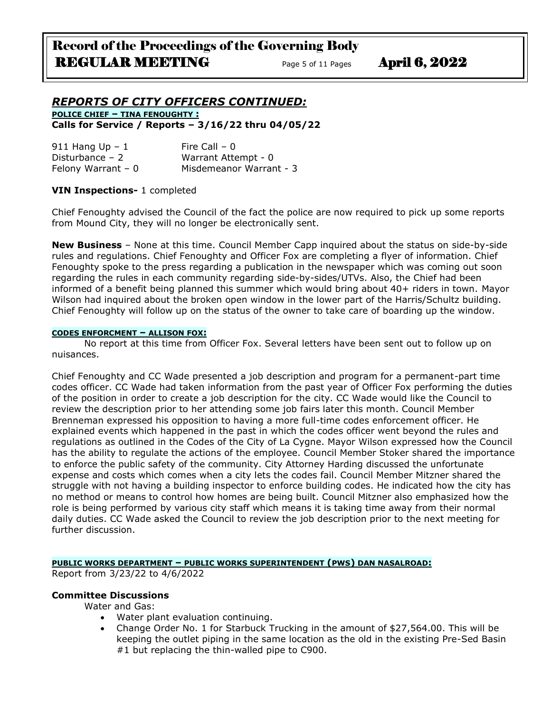### *REPORTS OF CITY OFFICERS CONTINUED:* **POLICE CHIEF – TINA FENOUGHTY :**

**Calls for Service / Reports – 3/16/22 thru 04/05/22**

| 911 Hang Up $-1$    | Fire Call $-0$          |
|---------------------|-------------------------|
| Disturbance $-2$    | Warrant Attempt - 0     |
| Felony Warrant $-0$ | Misdemeanor Warrant - 3 |

### **VIN Inspections-** 1 completed

Chief Fenoughty advised the Council of the fact the police are now required to pick up some reports from Mound City, they will no longer be electronically sent.

**New Business** – None at this time. Council Member Capp inquired about the status on side-by-side rules and regulations. Chief Fenoughty and Officer Fox are completing a flyer of information. Chief Fenoughty spoke to the press regarding a publication in the newspaper which was coming out soon regarding the rules in each community regarding side-by-sides/UTVs. Also, the Chief had been informed of a benefit being planned this summer which would bring about 40+ riders in town. Mayor Wilson had inquired about the broken open window in the lower part of the Harris/Schultz building. Chief Fenoughty will follow up on the status of the owner to take care of boarding up the window.

#### **CODES ENFORCMENT – ALLISON FOX:**

No report at this time from Officer Fox. Several letters have been sent out to follow up on nuisances.

Chief Fenoughty and CC Wade presented a job description and program for a permanent-part time codes officer. CC Wade had taken information from the past year of Officer Fox performing the duties of the position in order to create a job description for the city. CC Wade would like the Council to review the description prior to her attending some job fairs later this month. Council Member Brenneman expressed his opposition to having a more full-time codes enforcement officer. He explained events which happened in the past in which the codes officer went beyond the rules and regulations as outlined in the Codes of the City of La Cygne. Mayor Wilson expressed how the Council has the ability to regulate the actions of the employee. Council Member Stoker shared the importance to enforce the public safety of the community. City Attorney Harding discussed the unfortunate expense and costs which comes when a city lets the codes fail. Council Member Mitzner shared the struggle with not having a building inspector to enforce building codes. He indicated how the city has no method or means to control how homes are being built. Council Mitzner also emphasized how the role is being performed by various city staff which means it is taking time away from their normal daily duties. CC Wade asked the Council to review the job description prior to the next meeting for further discussion.

## **PUBLIC WORKS DEPARTMENT – PUBLIC WORKS SUPERINTENDENT (PWS) DAN NASALROAD:**

Report from 3/23/22 to 4/6/2022

### **Committee Discussions**

Water and Gas:

- Water plant evaluation continuing.
- Change Order No. 1 for Starbuck Trucking in the amount of \$27,564.00. This will be keeping the outlet piping in the same location as the old in the existing Pre-Sed Basin #1 but replacing the thin-walled pipe to C900.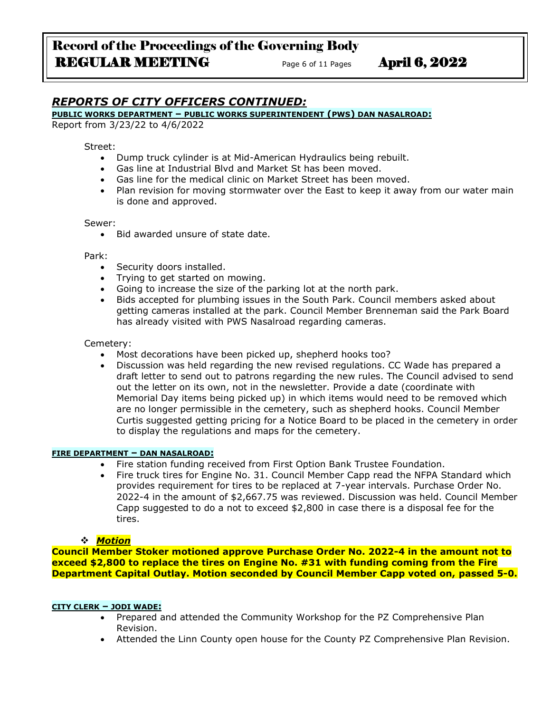# *REPORTS OF CITY OFFICERS CONTINUED:*

#### **PUBLIC WORKS DEPARTMENT – PUBLIC WORKS SUPERINTENDENT (PWS) DAN NASALROAD:**

Report from 3/23/22 to 4/6/2022

#### Street:

- Dump truck cylinder is at Mid-American Hydraulics being rebuilt.
- Gas line at Industrial Blvd and Market St has been moved.
- Gas line for the medical clinic on Market Street has been moved.
- Plan revision for moving stormwater over the East to keep it away from our water main is done and approved.

#### Sewer:

• Bid awarded unsure of state date.

#### Park:

- Security doors installed.
- Trying to get started on mowing.
- Going to increase the size of the parking lot at the north park.
- Bids accepted for plumbing issues in the South Park. Council members asked about getting cameras installed at the park. Council Member Brenneman said the Park Board has already visited with PWS Nasalroad regarding cameras.

#### Cemetery:

- Most decorations have been picked up, shepherd hooks too?
- Discussion was held regarding the new revised regulations. CC Wade has prepared a draft letter to send out to patrons regarding the new rules. The Council advised to send out the letter on its own, not in the newsletter. Provide a date (coordinate with Memorial Day items being picked up) in which items would need to be removed which are no longer permissible in the cemetery, such as shepherd hooks. Council Member Curtis suggested getting pricing for a Notice Board to be placed in the cemetery in order to display the regulations and maps for the cemetery.

#### **FIRE DEPARTMENT – DAN NASALROAD:**

- Fire station funding received from First Option Bank Trustee Foundation.
- Fire truck tires for Engine No. 31. Council Member Capp read the NFPA Standard which provides requirement for tires to be replaced at 7-year intervals. Purchase Order No. 2022-4 in the amount of \$2,667.75 was reviewed. Discussion was held. Council Member Capp suggested to do a not to exceed \$2,800 in case there is a disposal fee for the tires.

#### ❖ *Motion*

**Council Member Stoker motioned approve Purchase Order No. 2022-4 in the amount not to exceed \$2,800 to replace the tires on Engine No. #31 with funding coming from the Fire Department Capital Outlay. Motion seconded by Council Member Capp voted on, passed 5-0.**

#### **CITY CLERK – JODI WADE:**

- Prepared and attended the Community Workshop for the PZ Comprehensive Plan Revision.
- Attended the Linn County open house for the County PZ Comprehensive Plan Revision.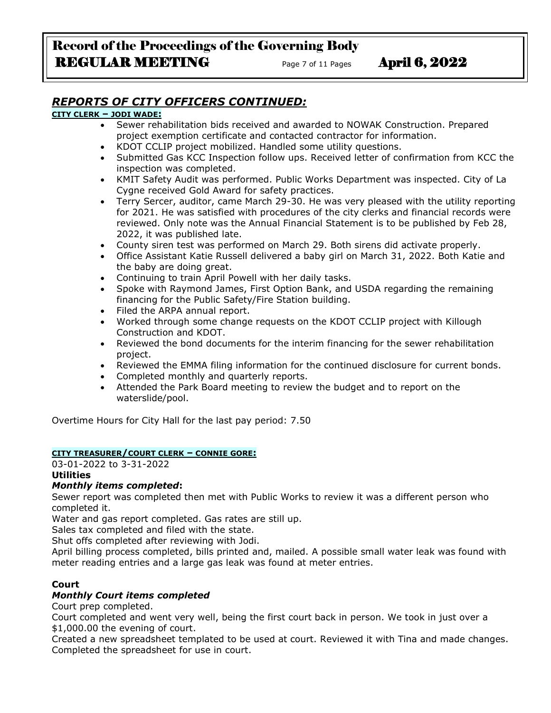# *REPORTS OF CITY OFFICERS CONTINUED:*

### **CITY CLERK – JODI WADE:**

- Sewer rehabilitation bids received and awarded to NOWAK Construction. Prepared project exemption certificate and contacted contractor for information.
- KDOT CCLIP project mobilized. Handled some utility questions.
- Submitted Gas KCC Inspection follow ups. Received letter of confirmation from KCC the inspection was completed.
- KMIT Safety Audit was performed. Public Works Department was inspected. City of La Cygne received Gold Award for safety practices.
- Terry Sercer, auditor, came March 29-30. He was very pleased with the utility reporting for 2021. He was satisfied with procedures of the city clerks and financial records were reviewed. Only note was the Annual Financial Statement is to be published by Feb 28, 2022, it was published late.
- County siren test was performed on March 29. Both sirens did activate properly.
- Office Assistant Katie Russell delivered a baby girl on March 31, 2022. Both Katie and the baby are doing great.
- Continuing to train April Powell with her daily tasks.
- Spoke with Raymond James, First Option Bank, and USDA regarding the remaining financing for the Public Safety/Fire Station building.
- Filed the ARPA annual report.
- Worked through some change requests on the KDOT CCLIP project with Killough Construction and KDOT.
- Reviewed the bond documents for the interim financing for the sewer rehabilitation project.
- Reviewed the EMMA filing information for the continued disclosure for current bonds.
- Completed monthly and quarterly reports.
- Attended the Park Board meeting to review the budget and to report on the waterslide/pool.

Overtime Hours for City Hall for the last pay period: 7.50

### **CITY TREASURER/COURT CLERK – CONNIE GORE:**

03-01-2022 to 3-31-2022 **Utilities**

### *Monthly items completed***:**

Sewer report was completed then met with Public Works to review it was a different person who completed it.

Water and gas report completed. Gas rates are still up.

Sales tax completed and filed with the state.

Shut offs completed after reviewing with Jodi.

April billing process completed, bills printed and, mailed. A possible small water leak was found with meter reading entries and a large gas leak was found at meter entries.

## **Court**

## *Monthly Court items completed*

Court prep completed.

Court completed and went very well, being the first court back in person. We took in just over a \$1,000.00 the evening of court.

Created a new spreadsheet templated to be used at court. Reviewed it with Tina and made changes. Completed the spreadsheet for use in court.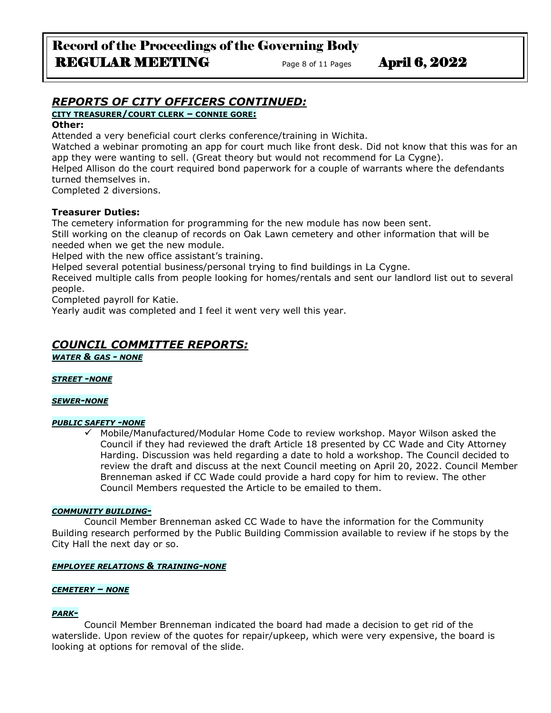# Record of the Proceedings of the Governing Body REGULAR MEETING Page 8 of 11 Pages April 6, 2022

# *REPORTS OF CITY OFFICERS CONTINUED:*

### **CITY TREASURER/COURT CLERK – CONNIE GORE:**

### **Other:**

Attended a very beneficial court clerks conference/training in Wichita.

Watched a webinar promoting an app for court much like front desk. Did not know that this was for an app they were wanting to sell. (Great theory but would not recommend for La Cygne).

Helped Allison do the court required bond paperwork for a couple of warrants where the defendants turned themselves in.

Completed 2 diversions.

## **Treasurer Duties:**

The cemetery information for programming for the new module has now been sent.

Still working on the cleanup of records on Oak Lawn cemetery and other information that will be needed when we get the new module.

Helped with the new office assistant's training.

Helped several potential business/personal trying to find buildings in La Cygne.

Received multiple calls from people looking for homes/rentals and sent our landlord list out to several people.

Completed payroll for Katie.

Yearly audit was completed and I feel it went very well this year.

# *COUNCIL COMMITTEE REPORTS:*

*WATER & GAS - NONE*

### *STREET -NONE*

### *SEWER-NONE*

### *PUBLIC SAFETY -NONE*

✓ Mobile/Manufactured/Modular Home Code to review workshop. Mayor Wilson asked the Council if they had reviewed the draft Article 18 presented by CC Wade and City Attorney Harding. Discussion was held regarding a date to hold a workshop. The Council decided to review the draft and discuss at the next Council meeting on April 20, 2022. Council Member Brenneman asked if CC Wade could provide a hard copy for him to review. The other Council Members requested the Article to be emailed to them.

### *COMMUNITY BUILDING-*

Council Member Brenneman asked CC Wade to have the information for the Community Building research performed by the Public Building Commission available to review if he stops by the City Hall the next day or so.

### *EMPLOYEE RELATIONS & TRAINING-NONE*

### *CEMETERY – NONE*

## *PARK-*

Council Member Brenneman indicated the board had made a decision to get rid of the waterslide. Upon review of the quotes for repair/upkeep, which were very expensive, the board is looking at options for removal of the slide.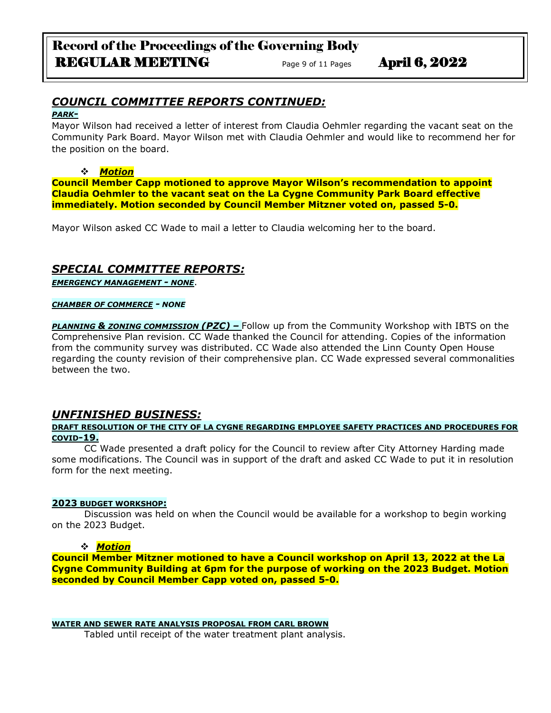# Record of the Proceedings of the Governing Body REGULAR MEETING Page 9 of 11 Pages April 6, 2022

# *COUNCIL COMMITTEE REPORTS CONTINUED:*

#### *PARK-*

Mayor Wilson had received a letter of interest from Claudia Oehmler regarding the vacant seat on the Community Park Board. Mayor Wilson met with Claudia Oehmler and would like to recommend her for the position on the board.

#### ❖ *Motion*

**Council Member Capp motioned to approve Mayor Wilson's recommendation to appoint Claudia Oehmler to the vacant seat on the La Cygne Community Park Board effective immediately. Motion seconded by Council Member Mitzner voted on, passed 5-0.**

Mayor Wilson asked CC Wade to mail a letter to Claudia welcoming her to the board.

# *SPECIAL COMMITTEE REPORTS:*

*EMERGENCY MANAGEMENT - NONE*.

#### *CHAMBER OF COMMERCE - NONE*

**PLANNING & ZONING COMMISSION (PZC)** - Follow up from the Community Workshop with IBTS on the Comprehensive Plan revision. CC Wade thanked the Council for attending. Copies of the information from the community survey was distributed. CC Wade also attended the Linn County Open House regarding the county revision of their comprehensive plan. CC Wade expressed several commonalities between the two.

## *UNFINISHED BUSINESS:*

### **DRAFT RESOLUTION OF THE CITY OF LA CYGNE REGARDING EMPLOYEE SAFETY PRACTICES AND PROCEDURES FOR COVID-19.**

CC Wade presented a draft policy for the Council to review after City Attorney Harding made some modifications. The Council was in support of the draft and asked CC Wade to put it in resolution form for the next meeting.

### **2023 BUDGET WORKSHOP:**

Discussion was held on when the Council would be available for a workshop to begin working on the 2023 Budget.

### ❖ *Motion*

**Council Member Mitzner motioned to have a Council workshop on April 13, 2022 at the La Cygne Community Building at 6pm for the purpose of working on the 2023 Budget. Motion seconded by Council Member Capp voted on, passed 5-0.**

### **WATER AND SEWER RATE ANALYSIS PROPOSAL FROM CARL BROWN**

Tabled until receipt of the water treatment plant analysis.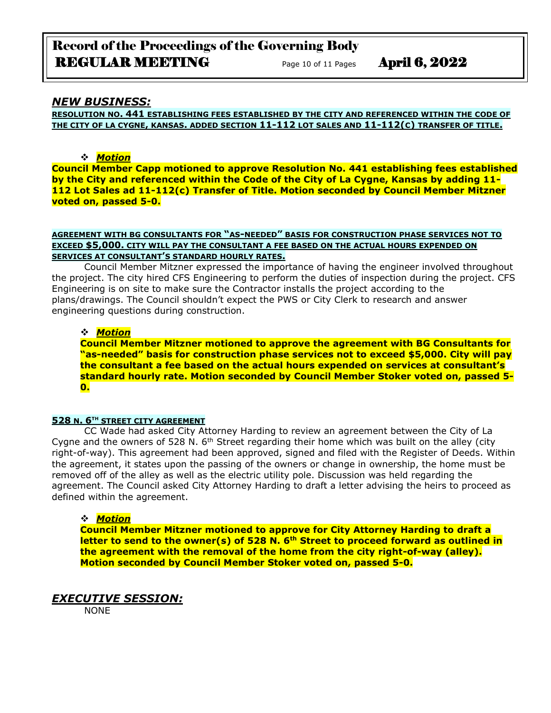# Record of the Proceedings of the Governing Body REGULAR MEETING Page 10 of 11 Pages April 6, 2022

### *NEW BUSINESS:*

**RESOLUTION NO. 441 ESTABLISHING FEES ESTABLISHED BY THE CITY AND REFERENCED WITHIN THE CODE OF THE CITY OF LA CYGNE, KANSAS. ADDED SECTION 11-112 LOT SALES AND 11-112(C) TRANSFER OF TITLE.**

#### ❖ *Motion*

**Council Member Capp motioned to approve Resolution No. 441 establishing fees established by the City and referenced within the Code of the City of La Cygne, Kansas by adding 11- 112 Lot Sales ad 11-112(c) Transfer of Title. Motion seconded by Council Member Mitzner voted on, passed 5-0.**

#### **AGREEMENT WITH BG CONSULTANTS FOR "AS-NEEDED" BASIS FOR CONSTRUCTION PHASE SERVICES NOT TO EXCEED \$5,000. CITY WILL PAY THE CONSULTANT A FEE BASED ON THE ACTUAL HOURS EXPENDED ON SERVICES AT CONSULTANT'S STANDARD HOURLY RATES.**

Council Member Mitzner expressed the importance of having the engineer involved throughout the project. The city hired CFS Engineering to perform the duties of inspection during the project. CFS Engineering is on site to make sure the Contractor installs the project according to the plans/drawings. The Council shouldn't expect the PWS or City Clerk to research and answer engineering questions during construction.

### ❖ *Motion*

**Council Member Mitzner motioned to approve the agreement with BG Consultants for "as-needed" basis for construction phase services not to exceed \$5,000. City will pay the consultant a fee based on the actual hours expended on services at consultant's standard hourly rate. Motion seconded by Council Member Stoker voted on, passed 5- 0.** 

#### **528 N. 6TH STREET CITY AGREEMENT**

CC Wade had asked City Attorney Harding to review an agreement between the City of La Cygne and the owners of 528 N. 6<sup>th</sup> Street regarding their home which was built on the alley (city right-of-way). This agreement had been approved, signed and filed with the Register of Deeds. Within the agreement, it states upon the passing of the owners or change in ownership, the home must be removed off of the alley as well as the electric utility pole. Discussion was held regarding the agreement. The Council asked City Attorney Harding to draft a letter advising the heirs to proceed as defined within the agreement.

#### ❖ *Motion*

**Council Member Mitzner motioned to approve for City Attorney Harding to draft a letter to send to the owner(s) of 528 N. 6th Street to proceed forward as outlined in the agreement with the removal of the home from the city right-of-way (alley). Motion seconded by Council Member Stoker voted on, passed 5-0.**

## *EXECUTIVE SESSION:*

NONE